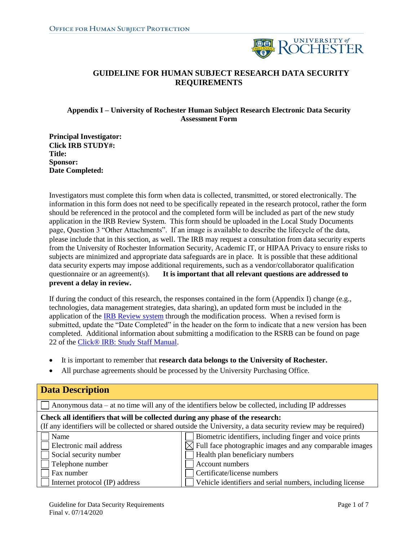

## **GUIDELINE FOR HUMAN SUBJECT RESEARCH DATA SECURITY REQUIREMENTS**

#### **Appendix I – University of Rochester Human Subject Research Electronic Data Security Assessment Form**

**Principal Investigator: Click IRB STUDY#: Title: Sponsor: Date Completed:** 

Investigators must complete this form when data is collected, transmitted, or stored electronically. The information in this form does not need to be specifically repeated in the research protocol, rather the form should be referenced in the protocol and the completed form will be included as part of the new study application in the IRB Review System. This form should be uploaded in the Local Study Documents page, Question 3 "Other Attachments". If an image is available to describe the lifecycle of the data, please include that in this section, as well. The IRB may request a consultation from data security experts from the University of Rochester Information Security, Academic IT, or HIPAA Privacy to ensure risks to subjects are minimized and appropriate data safeguards are in place. It is possible that these additional data security experts may impose additional requirements, such as a vendor/collaborator qualification questionnaire or an agreement(s). **It is important that all relevant questions are addressed to prevent a delay in review.** 

If during the conduct of this research, the responses contained in the form (Appendix I) change (e.g., technologies, data management strategies, data sharing), an updated form must be included in the application of th[e IRB Review system](https://rochesterirb.huronresearchsuite.com/IRB/sd/Rooms/DisplayPages/LayoutInitial?Container=com.webridge.entity.Entity%5bOID%5b0A7646F3B149874E902185897C144551%5d%5d) through the modification process. When a revised form is submitted, update the "Date Completed" in the header on the form to indicate that a new version has been completed. Additional information about submitting a modification to the RSRB can be found on page 22 of the [Click® IRB: Study Staff Manual.](http://www.rochester.edu/ohsp/documents/education/pdf/ClickIRB_StudyStaffManual.pdf)

- It is important to remember that **research data belongs to the University of Rochester.**
- All purchase agreements should be processed by the University Purchasing Office.

| <b>Data Description</b>                                                                                                                                                                           |                                                                                                                                                                                                                                                                       |  |  |  |  |  |  |
|---------------------------------------------------------------------------------------------------------------------------------------------------------------------------------------------------|-----------------------------------------------------------------------------------------------------------------------------------------------------------------------------------------------------------------------------------------------------------------------|--|--|--|--|--|--|
| Anonymous data $-$ at no time will any of the identifiers below be collected, including IP addresses                                                                                              |                                                                                                                                                                                                                                                                       |  |  |  |  |  |  |
| Check all identifiers that will be collected during any phase of the research:<br>(If any identifiers will be collected or shared outside the University, a data security review may be required) |                                                                                                                                                                                                                                                                       |  |  |  |  |  |  |
| Name<br>Electronic mail address<br>Social security number<br>Telephone number<br>Fax number<br>Internet protocol (IP) address                                                                     | Biometric identifiers, including finger and voice prints<br>Full face photographic images and any comparable images<br>Health plan beneficiary numbers<br>Account numbers<br>Certificate/license numbers<br>Vehicle identifiers and serial numbers, including license |  |  |  |  |  |  |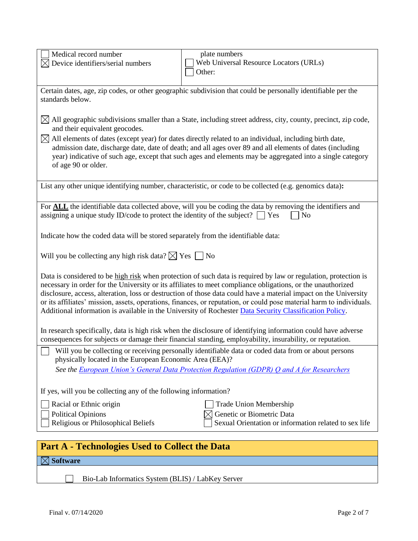| Medical record number                                                                                                                                                                                                                                                                                                                                                                                                                                                                                                                                                                 | plate numbers                                                                                                                                                                                                              |  |  |  |  |  |
|---------------------------------------------------------------------------------------------------------------------------------------------------------------------------------------------------------------------------------------------------------------------------------------------------------------------------------------------------------------------------------------------------------------------------------------------------------------------------------------------------------------------------------------------------------------------------------------|----------------------------------------------------------------------------------------------------------------------------------------------------------------------------------------------------------------------------|--|--|--|--|--|
| Device identifiers/serial numbers                                                                                                                                                                                                                                                                                                                                                                                                                                                                                                                                                     | Web Universal Resource Locators (URLs)                                                                                                                                                                                     |  |  |  |  |  |
|                                                                                                                                                                                                                                                                                                                                                                                                                                                                                                                                                                                       | Other:                                                                                                                                                                                                                     |  |  |  |  |  |
| Certain dates, age, zip codes, or other geographic subdivision that could be personally identifiable per the<br>standards below.                                                                                                                                                                                                                                                                                                                                                                                                                                                      |                                                                                                                                                                                                                            |  |  |  |  |  |
| and their equivalent geocodes.                                                                                                                                                                                                                                                                                                                                                                                                                                                                                                                                                        | $\boxtimes$ All geographic subdivisions smaller than a State, including street address, city, county, precinct, zip code,                                                                                                  |  |  |  |  |  |
| $\boxtimes$ All elements of dates (except year) for dates directly related to an individual, including birth date,<br>admission date, discharge date, date of death; and all ages over 89 and all elements of dates (including<br>year) indicative of such age, except that such ages and elements may be aggregated into a single category<br>of age 90 or older.                                                                                                                                                                                                                    |                                                                                                                                                                                                                            |  |  |  |  |  |
|                                                                                                                                                                                                                                                                                                                                                                                                                                                                                                                                                                                       | List any other unique identifying number, characteristic, or code to be collected (e.g. genomics data):                                                                                                                    |  |  |  |  |  |
| assigning a unique study ID/code to protect the identity of the subject? $\Box$ Yes                                                                                                                                                                                                                                                                                                                                                                                                                                                                                                   | For ALL the identifiable data collected above, will you be coding the data by removing the identifiers and<br>No                                                                                                           |  |  |  |  |  |
| Indicate how the coded data will be stored separately from the identifiable data:                                                                                                                                                                                                                                                                                                                                                                                                                                                                                                     |                                                                                                                                                                                                                            |  |  |  |  |  |
| Will you be collecting any high risk data? $\boxtimes$ Yes $\Box$ No                                                                                                                                                                                                                                                                                                                                                                                                                                                                                                                  |                                                                                                                                                                                                                            |  |  |  |  |  |
| Data is considered to be high risk when protection of such data is required by law or regulation, protection is<br>necessary in order for the University or its affiliates to meet compliance obligations, or the unauthorized<br>disclosure, access, alteration, loss or destruction of those data could have a material impact on the University<br>or its affiliates' mission, assets, operations, finances, or reputation, or could pose material harm to individuals.<br>Additional information is available in the University of Rochester Data Security Classification Policy. |                                                                                                                                                                                                                            |  |  |  |  |  |
|                                                                                                                                                                                                                                                                                                                                                                                                                                                                                                                                                                                       | In research specifically, data is high risk when the disclosure of identifying information could have adverse<br>consequences for subjects or damage their financial standing, employability, insurability, or reputation. |  |  |  |  |  |
| physically located in the European Economic Area (EEA)?                                                                                                                                                                                                                                                                                                                                                                                                                                                                                                                               | Will you be collecting or receiving personally identifiable data or coded data from or about persons                                                                                                                       |  |  |  |  |  |
|                                                                                                                                                                                                                                                                                                                                                                                                                                                                                                                                                                                       | See the European Union's General Data Protection Regulation (GDPR) Q and A for Researchers                                                                                                                                 |  |  |  |  |  |
| If yes, will you be collecting any of the following information?                                                                                                                                                                                                                                                                                                                                                                                                                                                                                                                      |                                                                                                                                                                                                                            |  |  |  |  |  |
| Racial or Ethnic origin                                                                                                                                                                                                                                                                                                                                                                                                                                                                                                                                                               | <b>Trade Union Membership</b>                                                                                                                                                                                              |  |  |  |  |  |
| <b>Political Opinions</b><br>Religious or Philosophical Beliefs                                                                                                                                                                                                                                                                                                                                                                                                                                                                                                                       | Genetic or Biometric Data<br>Sexual Orientation or information related to sex life                                                                                                                                         |  |  |  |  |  |
| <b>Part A - Technologies Used to Collect the Data</b>                                                                                                                                                                                                                                                                                                                                                                                                                                                                                                                                 |                                                                                                                                                                                                                            |  |  |  |  |  |

**Software**

П

Bio-Lab Informatics System (BLIS) / LabKey Server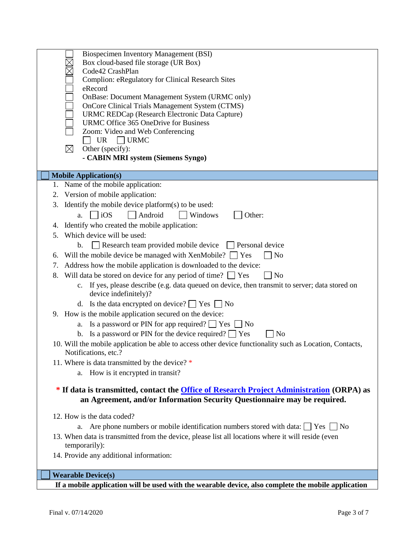| Biospecimen Inventory Management (BSI)                                                                   |
|----------------------------------------------------------------------------------------------------------|
| Box cloud-based file storage (UR Box)                                                                    |
| Code42 CrashPlan                                                                                         |
| Complion: eRegulatory for Clinical Research Sites                                                        |
| eRecord                                                                                                  |
| OnBase: Document Management System (URMC only)                                                           |
| OnCore Clinical Trials Management System (CTMS)                                                          |
| URMC REDCap (Research Electronic Data Capture)                                                           |
| URMC Office 365 OneDrive for Business                                                                    |
| Zoom: Video and Web Conferencing                                                                         |
| <b>UR</b><br>$\overline{\phantom{a}}$ URMC                                                               |
| $\boxtimes$<br>Other (specify):                                                                          |
| - CABIN MRI system (Siemens Syngo)                                                                       |
|                                                                                                          |
| <b>Mobile Application(s)</b>                                                                             |
| 1. Name of the mobile application:                                                                       |
|                                                                                                          |
| 2. Version of mobile application:                                                                        |
| 3. Identify the mobile device platform(s) to be used:                                                    |
| $\overline{10S}$<br>Android<br>Windows<br>Other:<br>a.                                                   |
| Identify who created the mobile application:<br>4.                                                       |
| Which device will be used:<br>5.                                                                         |
|                                                                                                          |
| Research team provided mobile device<br>b.<br>$\Box$ Personal device                                     |
| Will the mobile device be managed with XenMobile?<br>No<br>Yes<br>6.                                     |
| Address how the mobile application is downloaded to the device:<br>7.                                    |
| 8.<br>Will data be stored on device for any period of time? $\Box$ Yes<br>$\exists$ No                   |
| c. If yes, please describe (e.g. data queued on device, then transmit to server; data stored on          |
| device indefinitely)?                                                                                    |
|                                                                                                          |
| d. Is the data encrypted on device? $\Box$ Yes $\Box$ No                                                 |
| 9. How is the mobile application secured on the device:                                                  |
| Is a password or PIN for app required? $\Box$ Yes $\Box$ No<br>а.                                        |
| Is a password or PIN for the device required? $\Box$ Yes<br>N <sub>o</sub><br>$\mathbf{b}$ .             |
| 10. Will the mobile application be able to access other device functionality such as Location, Contacts, |
|                                                                                                          |
| Notifications, etc.?                                                                                     |
| 11. Where is data transmitted by the device? *                                                           |
| a. How is it encrypted in transit?                                                                       |
|                                                                                                          |
| * If data is transmitted, contact the <i>Office of Research Project Administration</i> (ORPA) as         |
| an Agreement, and/or Information Security Questionnaire may be required.                                 |
|                                                                                                          |
| 12. How is the data coded?                                                                               |
| a. Are phone numbers or mobile identification numbers stored with data: $\Box$ Yes $\Box$ No             |
| 13. When data is transmitted from the device, please list all locations where it will reside (even       |
| temporarily):                                                                                            |
| 14. Provide any additional information:                                                                  |
|                                                                                                          |
| <b>Wearable Device(s)</b>                                                                                |
|                                                                                                          |
| If a mobile application will be used with the wearable device, also complete the mobile application      |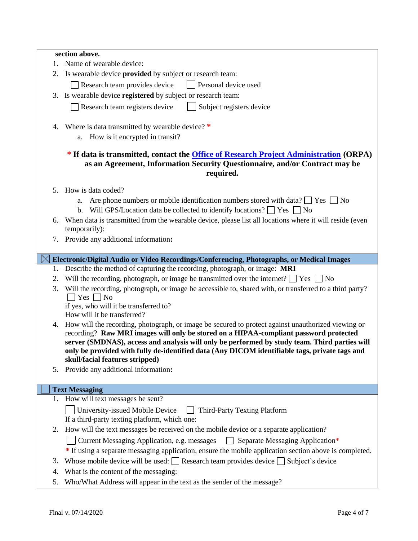|                                                                                                                                                                                           | section above.                                                                                                                                                                         |  |  |  |  |  |  |  |
|-------------------------------------------------------------------------------------------------------------------------------------------------------------------------------------------|----------------------------------------------------------------------------------------------------------------------------------------------------------------------------------------|--|--|--|--|--|--|--|
|                                                                                                                                                                                           | 1. Name of wearable device:                                                                                                                                                            |  |  |  |  |  |  |  |
|                                                                                                                                                                                           | 2. Is wearable device provided by subject or research team:                                                                                                                            |  |  |  |  |  |  |  |
|                                                                                                                                                                                           | Personal device used<br>Research team provides device                                                                                                                                  |  |  |  |  |  |  |  |
| 3.                                                                                                                                                                                        | Is wearable device registered by subject or research team:                                                                                                                             |  |  |  |  |  |  |  |
|                                                                                                                                                                                           | Research team registers device<br>Subject registers device                                                                                                                             |  |  |  |  |  |  |  |
|                                                                                                                                                                                           |                                                                                                                                                                                        |  |  |  |  |  |  |  |
| 4.                                                                                                                                                                                        | Where is data transmitted by wearable device? *                                                                                                                                        |  |  |  |  |  |  |  |
|                                                                                                                                                                                           | a. How is it encrypted in transit?                                                                                                                                                     |  |  |  |  |  |  |  |
| * If data is transmitted, contact the <b>Office of Research Project Administration</b> (ORPA)<br>as an Agreement, Information Security Questionnaire, and/or Contract may be<br>required. |                                                                                                                                                                                        |  |  |  |  |  |  |  |
|                                                                                                                                                                                           | 5. How is data coded?                                                                                                                                                                  |  |  |  |  |  |  |  |
|                                                                                                                                                                                           | Are phone numbers or mobile identification numbers stored with data? $\Box$ Yes $\Box$ No<br>а.                                                                                        |  |  |  |  |  |  |  |
|                                                                                                                                                                                           | b. Will GPS/Location data be collected to identify locations? $\Box$ Yes $\Box$ No                                                                                                     |  |  |  |  |  |  |  |
| 6.                                                                                                                                                                                        | When data is transmitted from the wearable device, please list all locations where it will reside (even                                                                                |  |  |  |  |  |  |  |
|                                                                                                                                                                                           | temporarily):                                                                                                                                                                          |  |  |  |  |  |  |  |
|                                                                                                                                                                                           | 7. Provide any additional information:                                                                                                                                                 |  |  |  |  |  |  |  |
|                                                                                                                                                                                           |                                                                                                                                                                                        |  |  |  |  |  |  |  |
|                                                                                                                                                                                           | Electronic/Digital Audio or Video Recordings/Conferencing, Photographs, or Medical Images<br>1. Describe the method of capturing the recording, photograph, or image: MRI              |  |  |  |  |  |  |  |
| 2.                                                                                                                                                                                        | Will the recording, photograph, or image be transmitted over the internet? $\Box$ Yes $\Box$ No                                                                                        |  |  |  |  |  |  |  |
| 3.                                                                                                                                                                                        | Will the recording, photograph, or image be accessible to, shared with, or transferred to a third party?                                                                               |  |  |  |  |  |  |  |
|                                                                                                                                                                                           | $\bigcap$ Yes $\bigcap$ No                                                                                                                                                             |  |  |  |  |  |  |  |
|                                                                                                                                                                                           | if yes, who will it be transferred to?                                                                                                                                                 |  |  |  |  |  |  |  |
|                                                                                                                                                                                           | How will it be transferred?                                                                                                                                                            |  |  |  |  |  |  |  |
| 4.                                                                                                                                                                                        | How will the recording, photograph, or image be secured to protect against unauthorized viewing or                                                                                     |  |  |  |  |  |  |  |
|                                                                                                                                                                                           | recording? Raw MRI images will only be stored on a HIPAA-compliant password protected<br>server (SMDNAS), access and analysis will only be performed by study team. Third parties will |  |  |  |  |  |  |  |
|                                                                                                                                                                                           | only be provided with fully de-identified data (Any DICOM identifiable tags, private tags and                                                                                          |  |  |  |  |  |  |  |
|                                                                                                                                                                                           | skull/facial features stripped)                                                                                                                                                        |  |  |  |  |  |  |  |
| 5.                                                                                                                                                                                        | Provide any additional information:                                                                                                                                                    |  |  |  |  |  |  |  |
|                                                                                                                                                                                           |                                                                                                                                                                                        |  |  |  |  |  |  |  |
|                                                                                                                                                                                           | <b>Text Messaging</b><br>1. How will text messages be sent?                                                                                                                            |  |  |  |  |  |  |  |
|                                                                                                                                                                                           | University-issued Mobile Device<br><b>Third-Party Texting Platform</b>                                                                                                                 |  |  |  |  |  |  |  |
|                                                                                                                                                                                           | If a third-party texting platform, which one:                                                                                                                                          |  |  |  |  |  |  |  |
| 2.                                                                                                                                                                                        | How will the text messages be received on the mobile device or a separate application?                                                                                                 |  |  |  |  |  |  |  |
|                                                                                                                                                                                           | Current Messaging Application, e.g. messages<br>$\Box$ Separate Messaging Application*                                                                                                 |  |  |  |  |  |  |  |
|                                                                                                                                                                                           | * If using a separate messaging application, ensure the mobile application section above is completed.                                                                                 |  |  |  |  |  |  |  |
| 3.                                                                                                                                                                                        | Whose mobile device will be used: $\Box$ Research team provides device $\Box$ Subject's device                                                                                         |  |  |  |  |  |  |  |
| 4.                                                                                                                                                                                        | What is the content of the messaging:                                                                                                                                                  |  |  |  |  |  |  |  |
| 5.                                                                                                                                                                                        | Who/What Address will appear in the text as the sender of the message?                                                                                                                 |  |  |  |  |  |  |  |
|                                                                                                                                                                                           |                                                                                                                                                                                        |  |  |  |  |  |  |  |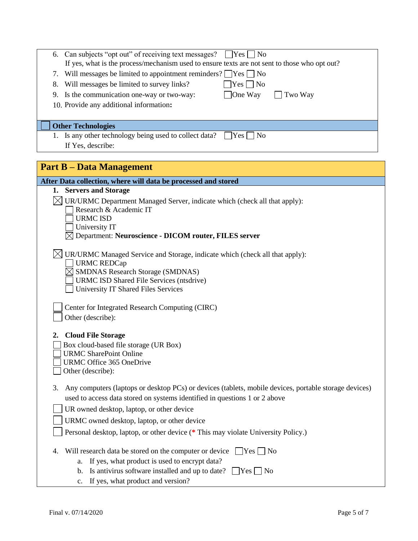| 6. Can subjects "opt out" of receiving text messages?<br>$ $   Yes     No<br>If yes, what is the process/mechanism used to ensure texts are not sent to those who opt out? |
|----------------------------------------------------------------------------------------------------------------------------------------------------------------------------|
| 7. Will messages be limited to appointment reminders? $\Box$ Yes $\Box$ No                                                                                                 |
| $ Yes $ No<br>Will messages be limited to survey links?<br>8.                                                                                                              |
| One Way<br>9. Is the communication one-way or two-way:<br>Two Way                                                                                                          |
| 10. Provide any additional information:                                                                                                                                    |
|                                                                                                                                                                            |
| <b>Other Technologies</b>                                                                                                                                                  |
| 1. Is any other technology being used to collect data?<br> Yes     No                                                                                                      |
| If Yes, describe:                                                                                                                                                          |
|                                                                                                                                                                            |
| <b>Part B – Data Management</b>                                                                                                                                            |

| After Data collection, where will data be processed and stored                                                                                                                                                                                                                               |
|----------------------------------------------------------------------------------------------------------------------------------------------------------------------------------------------------------------------------------------------------------------------------------------------|
| 1. Servers and Storage                                                                                                                                                                                                                                                                       |
| $\boxtimes$ UR/URMC Department Managed Server, indicate which (check all that apply):<br>Research & Academic IT<br><b>URMC ISD</b><br>University IT                                                                                                                                          |
| $\boxtimes$ Department: Neuroscience - DICOM router, FILES server                                                                                                                                                                                                                            |
| $\boxtimes$ UR/URMC Managed Service and Storage, indicate which (check all that apply):<br>URMC REDCap<br>$\boxtimes$ SMDNAS Research Storage (SMDNAS)<br>URMC ISD Shared File Services (ntsdrive)<br>University IT Shared Files Services<br>Center for Integrated Research Computing (CIRC) |
| Other (describe):<br><b>Cloud File Storage</b><br>2.<br>Box cloud-based file storage (UR Box)<br><b>URMC SharePoint Online</b><br>URMC Office 365 OneDrive<br>Other (describe):                                                                                                              |
| Any computers (laptops or desktop PCs) or devices (tablets, mobile devices, portable storage devices)<br>3.<br>used to access data stored on systems identified in questions 1 or 2 above<br>UR owned desktop, laptop, or other device<br>URMC owned desktop, laptop, or other device        |
| Personal desktop, laptop, or other device (* This may violate University Policy.)                                                                                                                                                                                                            |
| Will research data be stored on the computer or device $\Box$ Yes $\Box$ No<br>4.                                                                                                                                                                                                            |
| a. If yes, what product is used to encrypt data?                                                                                                                                                                                                                                             |
| b. Is antivirus software installed and up to date? $\Box$ Yes $\Box$ No                                                                                                                                                                                                                      |
| c. If yes, what product and version?                                                                                                                                                                                                                                                         |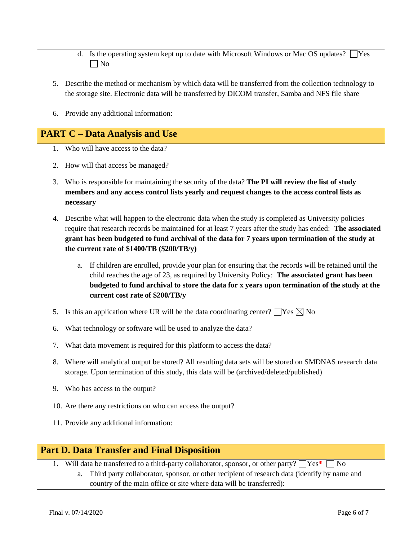- d. Is the operating system kept up to date with Microsoft Windows or Mac OS updates?  $\Box$  Yes  $\Box$  No
- 5. Describe the method or mechanism by which data will be transferred from the collection technology to the storage site. Electronic data will be transferred by DICOM transfer, Samba and NFS file share
- 6. Provide any additional information:

# **PART C – Data Analysis and Use**

- 1. Who will have access to the data?
- 2. How will that access be managed?
- 3. Who is responsible for maintaining the security of the data? **The PI will review the list of study members and any access control lists yearly and request changes to the access control lists as necessary**
- 4. Describe what will happen to the electronic data when the study is completed as University policies require that research records be maintained for at least 7 years after the study has ended: **The associated grant has been budgeted to fund archival of the data for 7 years upon termination of the study at the current rate of \$1400/TB (\$200/TB/y)**
	- a. If children are enrolled, provide your plan for ensuring that the records will be retained until the child reaches the age of 23, as required by University Policy: **The associated grant has been budgeted to fund archival to store the data for x years upon termination of the study at the current cost rate of \$200/TB/y**
- 5. Is this an application where UR will be the data coordinating center?  $\Box$  Yes  $\boxtimes$  No
- 6. What technology or software will be used to analyze the data?
- 7. What data movement is required for this platform to access the data?
- 8. Where will analytical output be stored? All resulting data sets will be stored on SMDNAS research data storage. Upon termination of this study, this data will be (archived/deleted/published)
- 9. Who has access to the output?
- 10. Are there any restrictions on who can access the output?
- 11. Provide any additional information:

## **Part D. Data Transfer and Final Disposition**

1. Will data be transferred to a third-party collaborator, sponsor, or other party?  $\gamma$   $\gamma$ es<sup>\*</sup>  $\gamma$  No

a. Third party collaborator, sponsor, or other recipient of research data (identify by name and country of the main office or site where data will be transferred):